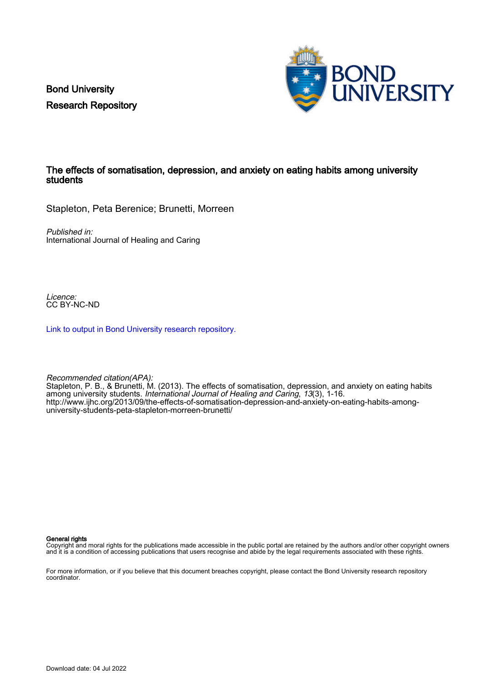Bond University Research Repository



# The effects of somatisation, depression, and anxiety on eating habits among university students

Stapleton, Peta Berenice; Brunetti, Morreen

Published in: International Journal of Healing and Caring

Licence: CC BY-NC-ND

[Link to output in Bond University research repository.](https://research.bond.edu.au/en/publications/27465a53-9722-44fc-b514-3de1931c5131)

Recommended citation(APA): Stapleton, P. B., & Brunetti, M. (2013). The effects of somatisation, depression, and anxiety on eating habits among university students. International Journal of Healing and Caring, 13(3), 1-16. [http://www.ijhc.org/2013/09/the-effects-of-somatisation-depression-and-anxiety-on-eating-habits-among](http://www.ijhc.org/2013/09/the-effects-of-somatisation-depression-and-anxiety-on-eating-habits-among-university-students-peta-stapleton-morreen-brunetti/)[university-students-peta-stapleton-morreen-brunetti/](http://www.ijhc.org/2013/09/the-effects-of-somatisation-depression-and-anxiety-on-eating-habits-among-university-students-peta-stapleton-morreen-brunetti/)

General rights

Copyright and moral rights for the publications made accessible in the public portal are retained by the authors and/or other copyright owners and it is a condition of accessing publications that users recognise and abide by the legal requirements associated with these rights.

For more information, or if you believe that this document breaches copyright, please contact the Bond University research repository coordinator.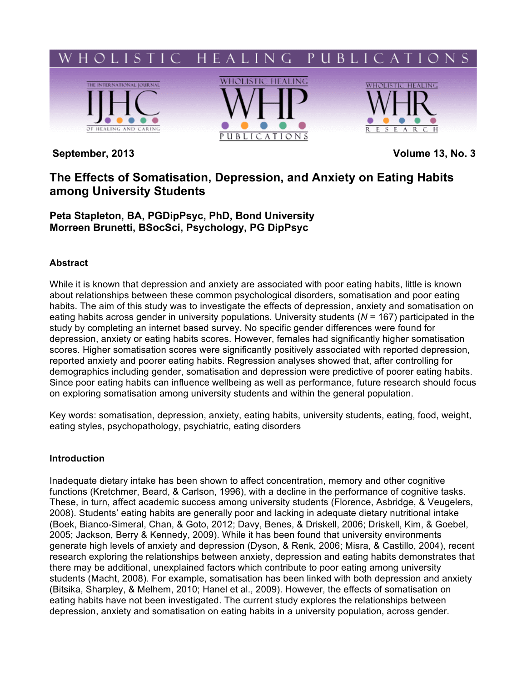

**September, 2013 Volume 13, No. 3**

# **The Effects of Somatisation, Depression, and Anxiety on Eating Habits among University Students**

**Peta Stapleton, BA, PGDipPsyc, PhD, Bond University Morreen Brunetti, BSocSci, Psychology, PG DipPsyc**

# **Abstract**

While it is known that depression and anxiety are associated with poor eating habits, little is known about relationships between these common psychological disorders, somatisation and poor eating habits. The aim of this study was to investigate the effects of depression, anxiety and somatisation on eating habits across gender in university populations. University students (*N* = 167) participated in the study by completing an internet based survey. No specific gender differences were found for depression, anxiety or eating habits scores. However, females had significantly higher somatisation scores. Higher somatisation scores were significantly positively associated with reported depression, reported anxiety and poorer eating habits. Regression analyses showed that, after controlling for demographics including gender, somatisation and depression were predictive of poorer eating habits. Since poor eating habits can influence wellbeing as well as performance, future research should focus on exploring somatisation among university students and within the general population.

Key words: somatisation, depression, anxiety, eating habits, university students, eating, food, weight, eating styles, psychopathology, psychiatric, eating disorders

# **Introduction**

Inadequate dietary intake has been shown to affect concentration, memory and other cognitive functions (Kretchmer, Beard, & Carlson, 1996), with a decline in the performance of cognitive tasks. These, in turn, affect academic success among university students (Florence, Asbridge, & Veugelers, 2008). Students' eating habits are generally poor and lacking in adequate dietary nutritional intake (Boek, Bianco-Simeral, Chan, & Goto, 2012; Davy, Benes, & Driskell, 2006; Driskell, Kim, & Goebel, 2005; Jackson, Berry & Kennedy, 2009). While it has been found that university environments generate high levels of anxiety and depression (Dyson, & Renk, 2006; Misra, & Castillo, 2004), recent research exploring the relationships between anxiety, depression and eating habits demonstrates that there may be additional, unexplained factors which contribute to poor eating among university students (Macht, 2008). For example, somatisation has been linked with both depression and anxiety (Bitsika, Sharpley, & Melhem, 2010; Hanel et al., 2009). However, the effects of somatisation on eating habits have not been investigated. The current study explores the relationships between depression, anxiety and somatisation on eating habits in a university population, across gender.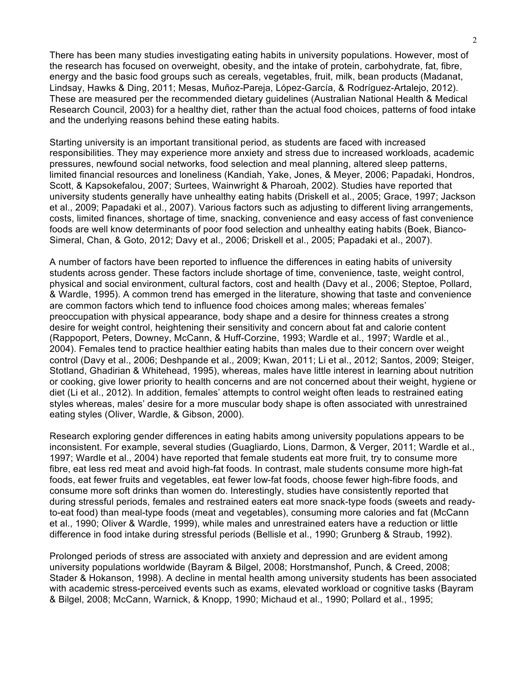There has been many studies investigating eating habits in university populations. However, most of the research has focused on overweight, obesity, and the intake of protein, carbohydrate, fat, fibre, energy and the basic food groups such as cereals, vegetables, fruit, milk, bean products (Madanat, Lindsay, Hawks & Ding, 2011; Mesas, Muñoz-Pareja, López-García, & Rodríguez-Artalejo, 2012). These are measured per the recommended dietary guidelines (Australian National Health & Medical Research Council, 2003) for a healthy diet, rather than the actual food choices, patterns of food intake and the underlying reasons behind these eating habits.

Starting university is an important transitional period, as students are faced with increased responsibilities. They may experience more anxiety and stress due to increased workloads, academic pressures, newfound social networks, food selection and meal planning, altered sleep patterns, limited financial resources and loneliness (Kandiah, Yake, Jones, & Meyer, 2006; Papadaki, Hondros, Scott, & Kapsokefalou, 2007; Surtees, Wainwright & Pharoah, 2002). Studies have reported that university students generally have unhealthy eating habits (Driskell et al., 2005; Grace, 1997; Jackson et al., 2009; Papadaki et al., 2007). Various factors such as adjusting to different living arrangements, costs, limited finances, shortage of time, snacking, convenience and easy access of fast convenience foods are well know determinants of poor food selection and unhealthy eating habits (Boek, Bianco-Simeral, Chan, & Goto, 2012; Davy et al., 2006; Driskell et al., 2005; Papadaki et al., 2007).

A number of factors have been reported to influence the differences in eating habits of university students across gender. These factors include shortage of time, convenience, taste, weight control, physical and social environment, cultural factors, cost and health (Davy et al., 2006; Steptoe, Pollard, & Wardle, 1995). A common trend has emerged in the literature, showing that taste and convenience are common factors which tend to influence food choices among males; whereas females' preoccupation with physical appearance, body shape and a desire for thinness creates a strong desire for weight control, heightening their sensitivity and concern about fat and calorie content (Rappoport, Peters, Downey, McCann, & Huff-Corzine, 1993; Wardle et al., 1997; Wardle et al., 2004). Females tend to practice healthier eating habits than males due to their concern over weight control (Davy et al., 2006; Deshpande et al., 2009; Kwan, 2011; Li et al., 2012; Santos, 2009; Steiger, Stotland, Ghadirian & Whitehead, 1995), whereas, males have little interest in learning about nutrition or cooking, give lower priority to health concerns and are not concerned about their weight, hygiene or diet (Li et al., 2012). In addition, females' attempts to control weight often leads to restrained eating styles whereas, males' desire for a more muscular body shape is often associated with unrestrained eating styles (Oliver, Wardle, & Gibson, 2000).

Research exploring gender differences in eating habits among university populations appears to be inconsistent. For example, several studies (Guagliardo, Lions, Darmon, & Verger, 2011; Wardle et al., 1997; Wardle et al., 2004) have reported that female students eat more fruit, try to consume more fibre, eat less red meat and avoid high-fat foods. In contrast, male students consume more high-fat foods, eat fewer fruits and vegetables, eat fewer low-fat foods, choose fewer high-fibre foods, and consume more soft drinks than women do. Interestingly, studies have consistently reported that during stressful periods, females and restrained eaters eat more snack-type foods (sweets and readyto-eat food) than meal-type foods (meat and vegetables), consuming more calories and fat (McCann et al., 1990; Oliver & Wardle, 1999), while males and unrestrained eaters have a reduction or little difference in food intake during stressful periods (Bellisle et al., 1990; Grunberg & Straub, 1992).

Prolonged periods of stress are associated with anxiety and depression and are evident among university populations worldwide (Bayram & Bilgel, 2008; Horstmanshof, Punch, & Creed, 2008; Stader & Hokanson, 1998). A decline in mental health among university students has been associated with academic stress-perceived events such as exams, elevated workload or cognitive tasks (Bayram & Bilgel, 2008; McCann, Warnick, & Knopp, 1990; Michaud et al., 1990; Pollard et al., 1995;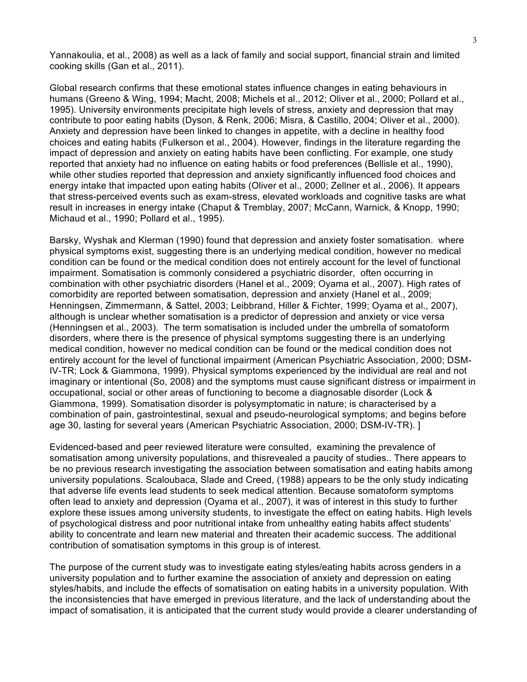Yannakoulia, et al., 2008) as well as a lack of family and social support, financial strain and limited cooking skills (Gan et al., 2011).

Global research confirms that these emotional states influence changes in eating behaviours in humans (Greeno & Wing, 1994; Macht, 2008; Michels et al., 2012; Oliver et al., 2000; Pollard et al., 1995). University environments precipitate high levels of stress, anxiety and depression that may contribute to poor eating habits (Dyson, & Renk, 2006; Misra, & Castillo, 2004; Oliver et al., 2000). Anxiety and depression have been linked to changes in appetite, with a decline in healthy food choices and eating habits (Fulkerson et al., 2004). However, findings in the literature regarding the impact of depression and anxiety on eating habits have been conflicting. For example, one study reported that anxiety had no influence on eating habits or food preferences (Bellisle et al., 1990), while other studies reported that depression and anxiety significantly influenced food choices and energy intake that impacted upon eating habits (Oliver et al., 2000; Zellner et al., 2006). It appears that stress-perceived events such as exam-stress, elevated workloads and cognitive tasks are what result in increases in energy intake (Chaput & Tremblay, 2007; McCann, Warnick, & Knopp, 1990; Michaud et al., 1990; Pollard et al., 1995).

Barsky, Wyshak and Klerman (1990) found that depression and anxiety foster somatisation. where physical symptoms exist, suggesting there is an underlying medical condition, however no medical condition can be found or the medical condition does not entirely account for the level of functional impairment. Somatisation is commonly considered a psychiatric disorder, often occurring in combination with other psychiatric disorders (Hanel et al., 2009; Oyama et al., 2007). High rates of comorbidity are reported between somatisation, depression and anxiety (Hanel et al., 2009; Henningsen, Zimmermann, & Sattel, 2003; Leibbrand, Hiller & Fichter, 1999; Oyama et al., 2007), although is unclear whether somatisation is a predictor of depression and anxiety or vice versa (Henningsen et al., 2003). The term somatisation is included under the umbrella of somatoform disorders, where there is the presence of physical symptoms suggesting there is an underlying medical condition, however no medical condition can be found or the medical condition does not entirely account for the level of functional impairment (American Psychiatric Association, 2000; DSM-IV-TR; Lock & Giammona, 1999). Physical symptoms experienced by the individual are real and not imaginary or intentional (So, 2008) and the symptoms must cause significant distress or impairment in occupational, social or other areas of functioning to become a diagnosable disorder (Lock & Giammona, 1999). Somatisation disorder is polysymptomatic in nature; is characterised by a combination of pain, gastrointestinal, sexual and pseudo-neurological symptoms; and begins before age 30, lasting for several years (American Psychiatric Association, 2000; DSM-IV-TR). ]

Evidenced-based and peer reviewed literature were consulted, examining the prevalence of somatisation among university populations, and thisrevealed a paucity of studies.. There appears to be no previous research investigating the association between somatisation and eating habits among university populations. Scaloubaca, Slade and Creed, (1988) appears to be the only study indicating that adverse life events lead students to seek medical attention. Because somatoform symptoms often lead to anxiety and depression (Oyama et al., 2007), it was of interest in this study to further explore these issues among university students, to investigate the effect on eating habits. High levels of psychological distress and poor nutritional intake from unhealthy eating habits affect students' ability to concentrate and learn new material and threaten their academic success. The additional contribution of somatisation symptoms in this group is of interest.

The purpose of the current study was to investigate eating styles/eating habits across genders in a university population and to further examine the association of anxiety and depression on eating styles/habits, and include the effects of somatisation on eating habits in a university population. With the inconsistencies that have emerged in previous literature, and the lack of understanding about the impact of somatisation, it is anticipated that the current study would provide a clearer understanding of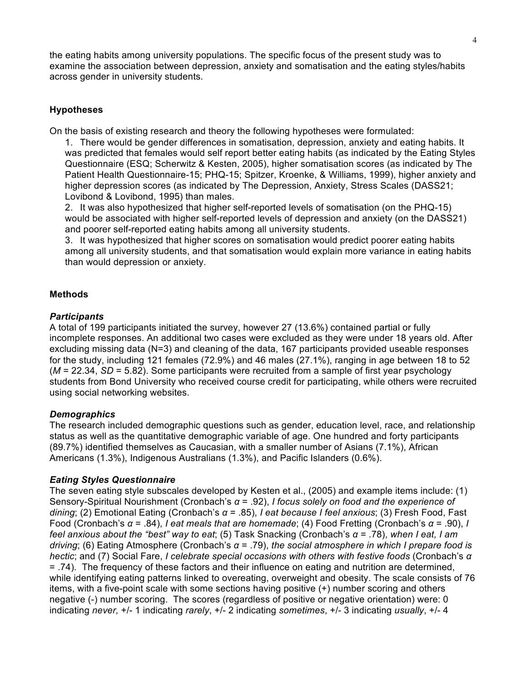the eating habits among university populations. The specific focus of the present study was to examine the association between depression, anxiety and somatisation and the eating styles/habits across gender in university students.

# **Hypotheses**

On the basis of existing research and theory the following hypotheses were formulated:

1. There would be gender differences in somatisation, depression, anxiety and eating habits. It was predicted that females would self report better eating habits (as indicated by the Eating Styles Questionnaire (ESQ; Scherwitz & Kesten, 2005), higher somatisation scores (as indicated by The Patient Health Questionnaire-15; PHQ-15; Spitzer, Kroenke, & Williams, 1999), higher anxiety and higher depression scores (as indicated by The Depression, Anxiety, Stress Scales (DASS21; Lovibond & Lovibond, 1995) than males.

2. It was also hypothesized that higher self-reported levels of somatisation (on the PHQ-15) would be associated with higher self-reported levels of depression and anxiety (on the DASS21) and poorer self-reported eating habits among all university students.

3. It was hypothesized that higher scores on somatisation would predict poorer eating habits among all university students, and that somatisation would explain more variance in eating habits than would depression or anxiety.

# **Methods**

### *Participants*

A total of 199 participants initiated the survey, however 27 (13.6%) contained partial or fully incomplete responses. An additional two cases were excluded as they were under 18 years old. After excluding missing data (N=3) and cleaning of the data, 167 participants provided useable responses for the study, including 121 females (72.9%) and 46 males (27.1%), ranging in age between 18 to 52 (*M* = 22.34, *SD* = 5.82). Some participants were recruited from a sample of first year psychology students from Bond University who received course credit for participating, while others were recruited using social networking websites.

# *Demographics*

The research included demographic questions such as gender, education level, race, and relationship status as well as the quantitative demographic variable of age. One hundred and forty participants (89.7%) identified themselves as Caucasian, with a smaller number of Asians (7.1%), African Americans (1.3%), Indigenous Australians (1.3%), and Pacific Islanders (0.6%).

# *Eating Styles Questionnaire*

The seven eating style subscales developed by Kesten et al., (2005) and example items include: (1) Sensory-Spiritual Nourishment (Cronbach's *α* = .92), *I focus solely on food and the experience of dining*; (2) Emotional Eating (Cronbach's *α* = .85), *I eat because I feel anxious*; (3) Fresh Food, Fast Food (Cronbach's *α* = .84), *I eat meals that are homemade*; (4) Food Fretting (Cronbach's *α* = .90), *I feel anxious about the "best" way to eat*; (5) Task Snacking (Cronbach's *α* = .78), *when I eat, I am driving*; (6) Eating Atmosphere (Cronbach's *α* = .79), *the social atmosphere in which I prepare food is hectic*; and (7) Social Fare, *I celebrate special occasions with others with festive foods* (Cronbach's *α* = .74).The frequency of these factors and their influence on eating and nutrition are determined, while identifying eating patterns linked to overeating, overweight and obesity. The scale consists of 76 items, with a five-point scale with some sections having positive (+) number scoring and others negative (-) number scoring. The scores (regardless of positive or negative orientation) were: 0 indicating *never,* +/- 1 indicating *rarely*, +/- 2 indicating *sometimes*, +/- 3 indicating *usually*, +/- 4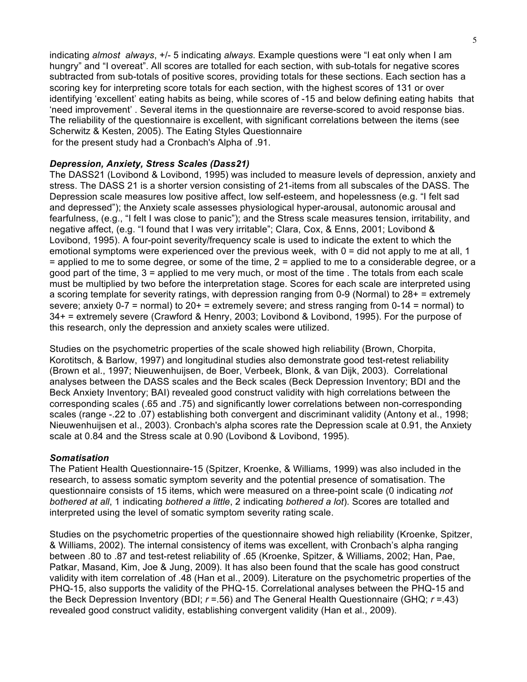indicating *almost always*, +/- 5 indicating *always*. Example questions were "I eat only when I am hungry" and "I overeat". All scores are totalled for each section, with sub-totals for negative scores subtracted from sub-totals of positive scores, providing totals for these sections. Each section has a scoring key for interpreting score totals for each section, with the highest scores of 131 or over identifying 'excellent' eating habits as being, while scores of -15 and below defining eating habits that 'need improvement' . Several items in the questionnaire are reverse-scored to avoid response bias. The reliability of the questionnaire is excellent, with significant correlations between the items (see Scherwitz & Kesten, 2005). The Eating Styles Questionnaire for the present study had a Cronbach's Alpha of .91.

### *Depression, Anxiety, Stress Scales (Dass21)*

The DASS21 (Lovibond & Lovibond, 1995) was included to measure levels of depression, anxiety and stress. The DASS 21 is a shorter version consisting of 21-items from all subscales of the DASS. The Depression scale measures low positive affect, low self-esteem, and hopelessness (e.g. "I felt sad and depressed"); the Anxiety scale assesses physiological hyper-arousal, autonomic arousal and fearfulness, (e.g., "I felt I was close to panic"); and the Stress scale measures tension, irritability, and negative affect, (e.g. "I found that I was very irritable"; Clara, Cox, & Enns, 2001; Lovibond & Lovibond, 1995). A four-point severity/frequency scale is used to indicate the extent to which the emotional symptoms were experienced over the previous week, with  $0 =$  did not apply to me at all, 1 = applied to me to some degree, or some of the time, 2 = applied to me to a considerable degree, or a good part of the time, 3 = applied to me very much, or most of the time . The totals from each scale must be multiplied by two before the interpretation stage. Scores for each scale are interpreted using a scoring template for severity ratings, with depression ranging from 0-9 (Normal) to 28+ = extremely severe; anxiety 0-7 = normal) to 20+ = extremely severe; and stress ranging from 0-14 = normal) to 34+ = extremely severe (Crawford & Henry, 2003; Lovibond & Lovibond, 1995). For the purpose of this research, only the depression and anxiety scales were utilized.

Studies on the psychometric properties of the scale showed high reliability (Brown, Chorpita, Korotitsch, & Barlow, 1997) and longitudinal studies also demonstrate good test-retest reliability (Brown et al., 1997; Nieuwenhuijsen, de Boer, Verbeek, Blonk, & van Dijk, 2003). Correlational analyses between the DASS scales and the Beck scales (Beck Depression Inventory; BDI and the Beck Anxiety Inventory; BAI) revealed good construct validity with high correlations between the corresponding scales (.65 and .75) and significantly lower correlations between non-corresponding scales (range -.22 to .07) establishing both convergent and discriminant validity (Antony et al., 1998; Nieuwenhuijsen et al., 2003). Cronbach's alpha scores rate the Depression scale at 0.91, the Anxiety scale at 0.84 and the Stress scale at 0.90 (Lovibond & Lovibond, 1995).

#### *Somatisation*

The Patient Health Questionnaire-15 (Spitzer, Kroenke, & Williams, 1999) was also included in the research, to assess somatic symptom severity and the potential presence of somatisation. The questionnaire consists of 15 items, which were measured on a three-point scale (0 indicating *not bothered at all*, 1 indicating *bothered a little*, 2 indicating *bothered a lot*). Scores are totalled and interpreted using the level of somatic symptom severity rating scale.

Studies on the psychometric properties of the questionnaire showed high reliability (Kroenke, Spitzer, & Williams, 2002). The internal consistency of items was excellent, with Cronbach's alpha ranging between .80 to .87 and test-retest reliability of .65 (Kroenke, Spitzer, & Williams, 2002; Han, Pae, Patkar, Masand, Kim, Joe & Jung, 2009). It has also been found that the scale has good construct validity with item correlation of .48 (Han et al., 2009). Literature on the psychometric properties of the PHQ-15, also supports the validity of the PHQ-15. Correlational analyses between the PHQ-15 and the Beck Depression Inventory (BDI; *r* =.56) and The General Health Questionnaire (GHQ; *r* =.43) revealed good construct validity, establishing convergent validity (Han et al., 2009).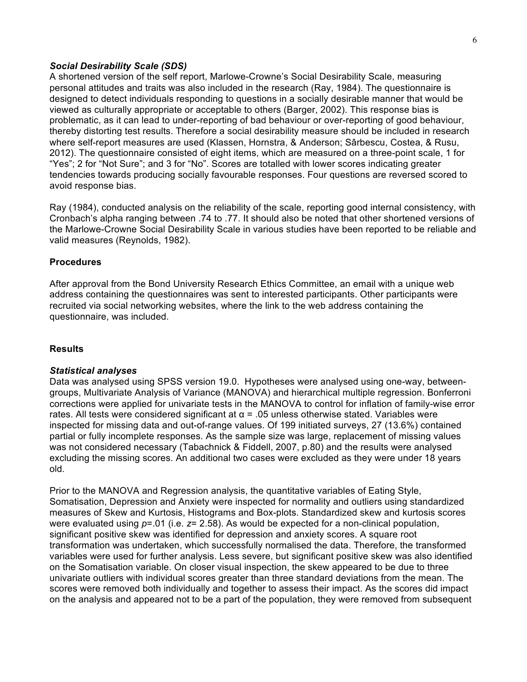### *Social Desirability Scale (SDS)*

A shortened version of the self report, Marlowe-Crowne's Social Desirability Scale, measuring personal attitudes and traits was also included in the research (Ray, 1984). The questionnaire is designed to detect individuals responding to questions in a socially desirable manner that would be viewed as culturally appropriate or acceptable to others (Barger, 2002). This response bias is problematic, as it can lead to under-reporting of bad behaviour or over-reporting of good behaviour, thereby distorting test results. Therefore a social desirability measure should be included in research where self-report measures are used (Klassen, Hornstra, & Anderson; Sârbescu, Costea, & Rusu, 2012). The questionnaire consisted of eight items, which are measured on a three-point scale, 1 for "Yes"; 2 for "Not Sure"; and 3 for "No". Scores are totalled with lower scores indicating greater tendencies towards producing socially favourable responses. Four questions are reversed scored to avoid response bias.

Ray (1984), conducted analysis on the reliability of the scale, reporting good internal consistency, with Cronbach's alpha ranging between .74 to .77. It should also be noted that other shortened versions of the Marlowe-Crowne Social Desirability Scale in various studies have been reported to be reliable and valid measures (Reynolds, 1982).

#### **Procedures**

After approval from the Bond University Research Ethics Committee, an email with a unique web address containing the questionnaires was sent to interested participants. Other participants were recruited via social networking websites, where the link to the web address containing the questionnaire, was included.

#### **Results**

#### *Statistical analyses*

Data was analysed using SPSS version 19.0. Hypotheses were analysed using one-way, betweengroups, Multivariate Analysis of Variance (MANOVA) and hierarchical multiple regression. Bonferroni corrections were applied for univariate tests in the MANOVA to control for inflation of family-wise error rates. All tests were considered significant at  $α = .05$  unless otherwise stated. Variables were inspected for missing data and out-of-range values. Of 199 initiated surveys, 27 (13.6%) contained partial or fully incomplete responses. As the sample size was large, replacement of missing values was not considered necessary (Tabachnick & Fiddell, 2007, p.80) and the results were analysed excluding the missing scores. An additional two cases were excluded as they were under 18 years old.

Prior to the MANOVA and Regression analysis, the quantitative variables of Eating Style, Somatisation, Depression and Anxiety were inspected for normality and outliers using standardized measures of Skew and Kurtosis, Histograms and Box-plots. Standardized skew and kurtosis scores were evaluated using *p*=.01 (i.e. *z*= 2.58). As would be expected for a non-clinical population, significant positive skew was identified for depression and anxiety scores. A square root transformation was undertaken, which successfully normalised the data. Therefore, the transformed variables were used for further analysis. Less severe, but significant positive skew was also identified on the Somatisation variable. On closer visual inspection, the skew appeared to be due to three univariate outliers with individual scores greater than three standard deviations from the mean. The scores were removed both individually and together to assess their impact. As the scores did impact on the analysis and appeared not to be a part of the population, they were removed from subsequent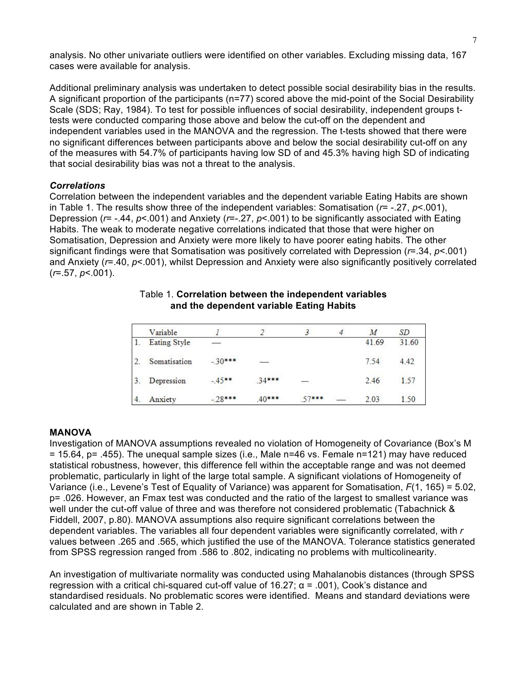analysis. No other univariate outliers were identified on other variables. Excluding missing data, 167 cases were available for analysis.

Additional preliminary analysis was undertaken to detect possible social desirability bias in the results. A significant proportion of the participants (n=77) scored above the mid-point of the Social Desirability Scale (SDS; Ray, 1984). To test for possible influences of social desirability, independent groups ttests were conducted comparing those above and below the cut-off on the dependent and independent variables used in the MANOVA and the regression. The t-tests showed that there were no significant differences between participants above and below the social desirability cut-off on any of the measures with 54.7% of participants having low SD of and 45.3% having high SD of indicating that social desirability bias was not a threat to the analysis.

### *Correlations*

Correlation between the independent variables and the dependent variable Eating Habits are shown in Table 1. The results show three of the independent variables: Somatisation (*r*= -.27, *p*<.001), Depression (*r*= -.44, *p*<.001) and Anxiety (*r*=-.27, *p*<.001) to be significantly associated with Eating Habits. The weak to moderate negative correlations indicated that those that were higher on Somatisation, Depression and Anxiety were more likely to have poorer eating habits. The other significant findings were that Somatisation was positively correlated with Depression (*r*=.34, *p*<.001) and Anxiety (*r*=.40, *p*<.001), whilst Depression and Anxiety were also significantly positively correlated (*r*=.57, *p*<.001).

| Variable     |          |          |            | М     | SD    |
|--------------|----------|----------|------------|-------|-------|
| Eating Style |          |          |            | 41.69 | 31.60 |
| Somatisation | $-30***$ | Service. |            | 7.54  | 4.42  |
| Depression   | $-45***$ | $34***$  | <b>REA</b> | 2.46  | 1.57  |
| Anxiety      | $-28***$ | $.40***$ | $57***$    | 2.03  | 1.50  |

### Table 1. **Correlation between the independent variables and the dependent variable Eating Habits**

# **MANOVA**

Investigation of MANOVA assumptions revealed no violation of Homogeneity of Covariance (Box's M = 15.64, p= .455). The unequal sample sizes (i.e., Male n=46 vs. Female n=121) may have reduced statistical robustness, however, this difference fell within the acceptable range and was not deemed problematic, particularly in light of the large total sample. A significant violations of Homogeneity of Variance (i.e., Levene's Test of Equality of Variance) was apparent for Somatisation, *F*(1, 165) = 5.02, p= .026. However, an Fmax test was conducted and the ratio of the largest to smallest variance was well under the cut-off value of three and was therefore not considered problematic (Tabachnick & Fiddell, 2007, p.80). MANOVA assumptions also require significant correlations between the dependent variables. The variables all four dependent variables were significantly correlated, with *r* values between .265 and .565, which justified the use of the MANOVA. Tolerance statistics generated from SPSS regression ranged from .586 to .802, indicating no problems with multicolinearity.

An investigation of multivariate normality was conducted using Mahalanobis distances (through SPSS regression with a critical chi-squared cut-off value of  $16.27$ ;  $\alpha$  = .001), Cook's distance and standardised residuals. No problematic scores were identified. Means and standard deviations were calculated and are shown in Table 2.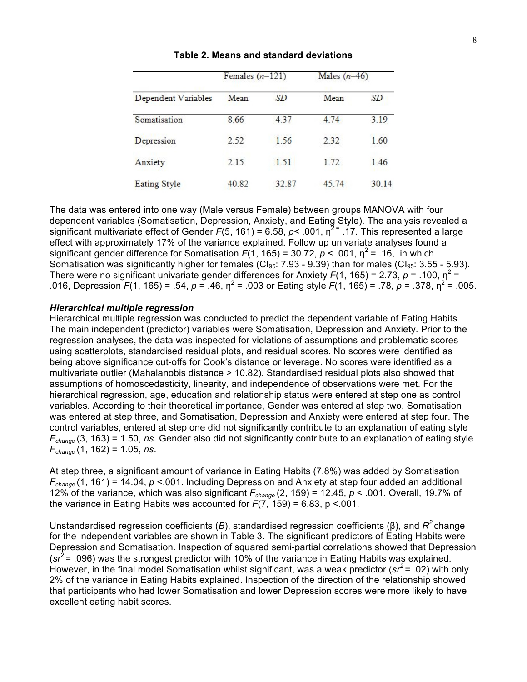|                     | Females $(n=121)$ |       | Males $(n=46)$ |       |
|---------------------|-------------------|-------|----------------|-------|
| Dependent Variables | Mean              | SD    | Mean           | SD    |
| Somatisation        | 8.66              | 4.37  | 4.74           | 3.19  |
| Depression          | 2.52              | 1.56  | 2.32           | 1.60  |
| Anxiety             | 2.15              | 1.51  | 1.72           | 1.46  |
| <b>Eating Style</b> | 40.82             | 32.87 | 45.74          | 30.14 |

#### **Table 2. Means and standard deviations**

The data was entered into one way (Male versus Female) between groups MANOVA with four dependent variables (Somatisation, Depression, Anxiety, and Eating Style). The analysis revealed a significant multivariate effect of Gender  $F(5, 161) = 6.58$ ,  $p < .001$ ,  $\eta^2 = .17$ . This represented a large effect with approximately 17% of the variance explained. Follow up univariate analyses found a significant gender difference for Somatisation  $F(1, 165) = 30.72$ ,  $p < .001$ ,  $p^2 = .16$ , in which Somatisation was significantly higher for females (CI<sub>95</sub>: 7.93 - 9.39) than for males (CI<sub>95</sub>: 3.55 - 5.93). There were no significant univariate gender differences for Anxiety  $F(1, 165) = 2.73$ ,  $p = .100$ ,  $\eta^2 =$ .016, Depression  $F(1, 165) = .54$ ,  $p = .46$ ,  $p^2 = .003$  or Eating style  $F(1, 165) = .78$ ,  $p = .378$ ,  $p^2 = .005$ .

#### *Hierarchical multiple regression*

Hierarchical multiple regression was conducted to predict the dependent variable of Eating Habits. The main independent (predictor) variables were Somatisation, Depression and Anxiety. Prior to the regression analyses, the data was inspected for violations of assumptions and problematic scores using scatterplots, standardised residual plots, and residual scores. No scores were identified as being above significance cut-offs for Cook's distance or leverage. No scores were identified as a multivariate outlier (Mahalanobis distance > 10.82). Standardised residual plots also showed that assumptions of homoscedasticity, linearity, and independence of observations were met. For the hierarchical regression, age, education and relationship status were entered at step one as control variables. According to their theoretical importance, Gender was entered at step two, Somatisation was entered at step three, and Somatisation, Depression and Anxiety were entered at step four. The control variables, entered at step one did not significantly contribute to an explanation of eating style *Fchange* (3, 163) = 1.50, *ns*. Gender also did not significantly contribute to an explanation of eating style *Fchange* (1, 162) = 1.05, *ns*.

At step three, a significant amount of variance in Eating Habits (7.8%) was added by Somatisation *Fchange* (1, 161) = 14.04, *p* <.001. Including Depression and Anxiety at step four added an additional 12% of the variance, which was also significant  $F_{change}$  (2, 159) = 12.45,  $p < .001$ . Overall, 19.7% of the variance in Eating Habits was accounted for  $F(7, 159) = 6.83$ ,  $p \le 0.001$ .

Unstandardised regression coefficients (*B*), standardised regression coefficients (β), and *R<sup>2</sup>* change for the independent variables are shown in Table 3. The significant predictors of Eating Habits were Depression and Somatisation. Inspection of squared semi-partial correlations showed that Depression  $(sr^2$  = .096) was the strongest predictor with 10% of the variance in Eating Habits was explained. However, in the final model Somatisation whilst significant, was a weak predictor (*sr<sup>2</sup>* = .02) with only 2% of the variance in Eating Habits explained. Inspection of the direction of the relationship showed that participants who had lower Somatisation and lower Depression scores were more likely to have excellent eating habit scores.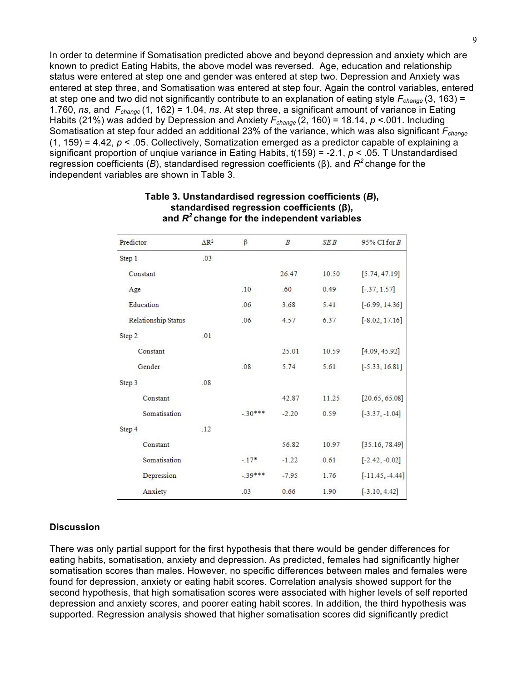In order to determine if Somatisation predicted above and beyond depression and anxiety which are known to predict Eating Habits, the above model was reversed. Age, education and relationship status were entered at step one and gender was entered at step two. Depression and Anxiety was entered at step three, and Somatisation was entered at step four. Again the control variables, entered at step one and two did not significantly contribute to an explanation of eating style *Fchange* (3, 163) = 1.760, *ns*, and *Fchange* (1, 162) = 1.04, *ns*. At step three, a significant amount of variance in Eating Habits (21%) was added by Depression and Anxiety  $F_{change}$  (2, 160) = 18.14,  $p < 001$ . Including Somatisation at step four added an additional 23% of the variance, which was also significant *Fchange*  (1, 159) = 4.42, *p* < .05. Collectively, Somatization emerged as a predictor capable of explaining a significant proportion of unqiue variance in Eating Habits, t(159) = -2.1, *p* < .05. T Unstandardised regression coefficients (*B*), standardised regression coefficients (β), and *R<sup>2</sup>* change for the independent variables are shown in Table 3.

| Predictor           | $\Delta$ R <sup>2</sup> | β        | $\boldsymbol{B}$ | <b>SEB</b> | $95\%$ CI for B   |
|---------------------|-------------------------|----------|------------------|------------|-------------------|
| Step 1              | .03                     |          |                  |            |                   |
| Constant            |                         |          | 26.47            | 10.50      | [5.74, 47.19]     |
| Age                 |                         | .10      | .60              | 0.49       | $[-37, 1.57]$     |
| Education           |                         | .06      | 3.68             | 5.41       | $[-6.99, 14.36]$  |
| Relationship Status |                         | .06      | 4.57             | 6.37       | $[-8.02, 17.16]$  |
| .01<br>Step 2       |                         |          |                  |            |                   |
| Constant            |                         |          | 25.01            | 10.59      | [4.09, 45.92]     |
| Gender              |                         | .08      | 5.74             | 5.61       | $[-5.33, 16.81]$  |
| .08<br>Step 3       |                         |          |                  |            |                   |
| Constant            |                         |          | 42.87            | 11.25      | [20.65, 65.08]    |
| Somatisation        |                         | $-30***$ | $-2.20$          | 0.59       | $[-3.37, -1.04]$  |
| Step 4              | .12                     |          |                  |            |                   |
| Constant            |                         |          | 56.82            | 10.97      | [35.16, 78.49]    |
| Somatisation        |                         | $-.17*$  | $-1.22$          | 0.61       | $[-2.42, -0.02]$  |
| Depression          |                         | $-39***$ | $-7.95$          | 1.76       | $[-11.45, -4.44]$ |
| Anxiety             |                         | .03      | 0.66             | 1.90       | $[-3.10, 4.42]$   |

### **Table 3. Unstandardised regression coefficients (***B***), standardised regression coefficients (β), and** *R<sup>2</sup>* **change for the independent variables**

### **Discussion**

There was only partial support for the first hypothesis that there would be gender differences for eating habits, somatisation, anxiety and depression. As predicted, females had significantly higher somatisation scores than males. However, no specific differences between males and females were found for depression, anxiety or eating habit scores. Correlation analysis showed support for the second hypothesis, that high somatisation scores were associated with higher levels of self reported depression and anxiety scores, and poorer eating habit scores. In addition, the third hypothesis was supported. Regression analysis showed that higher somatisation scores did significantly predict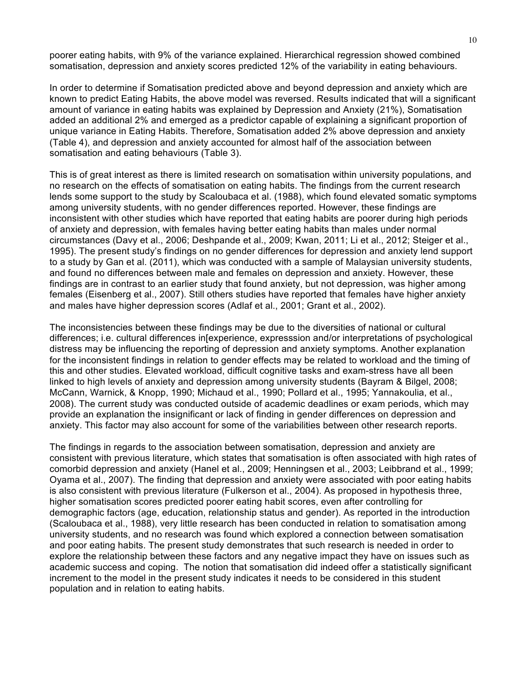poorer eating habits, with 9% of the variance explained. Hierarchical regression showed combined somatisation, depression and anxiety scores predicted 12% of the variability in eating behaviours.

In order to determine if Somatisation predicted above and beyond depression and anxiety which are known to predict Eating Habits, the above model was reversed. Results indicated that will a significant amount of variance in eating habits was explained by Depression and Anxiety (21%), Somatisation added an additional 2% and emerged as a predictor capable of explaining a significant proportion of unique variance in Eating Habits. Therefore, Somatisation added 2% above depression and anxiety (Table 4), and depression and anxiety accounted for almost half of the association between somatisation and eating behaviours (Table 3).

This is of great interest as there is limited research on somatisation within university populations, and no research on the effects of somatisation on eating habits. The findings from the current research lends some support to the study by Scaloubaca et al. (1988), which found elevated somatic symptoms among university students, with no gender differences reported. However, these findings are inconsistent with other studies which have reported that eating habits are poorer during high periods of anxiety and depression, with females having better eating habits than males under normal circumstances (Davy et al., 2006; Deshpande et al., 2009; Kwan, 2011; Li et al., 2012; Steiger et al., 1995). The present study's findings on no gender differences for depression and anxiety lend support to a study by Gan et al. (2011), which was conducted with a sample of Malaysian university students, and found no differences between male and females on depression and anxiety. However, these findings are in contrast to an earlier study that found anxiety, but not depression, was higher among females (Eisenberg et al., 2007). Still others studies have reported that females have higher anxiety and males have higher depression scores (Adlaf et al., 2001; Grant et al., 2002).

The inconsistencies between these findings may be due to the diversities of national or cultural differences; i.e. cultural differences in[experience, expresssion and/or interpretations of psychological distress may be influencing the reporting of depression and anxiety symptoms. Another explanation for the inconsistent findings in relation to gender effects may be related to workload and the timing of this and other studies. Elevated workload, difficult cognitive tasks and exam-stress have all been linked to high levels of anxiety and depression among university students (Bayram & Bilgel, 2008; McCann, Warnick, & Knopp, 1990; Michaud et al., 1990; Pollard et al., 1995; Yannakoulia, et al., 2008). The current study was conducted outside of academic deadlines or exam periods, which may provide an explanation the insignificant or lack of finding in gender differences on depression and anxiety. This factor may also account for some of the variabilities between other research reports.

The findings in regards to the association between somatisation, depression and anxiety are consistent with previous literature, which states that somatisation is often associated with high rates of comorbid depression and anxiety (Hanel et al., 2009; Henningsen et al., 2003; Leibbrand et al., 1999; Oyama et al., 2007). The finding that depression and anxiety were associated with poor eating habits is also consistent with previous literature (Fulkerson et al., 2004). As proposed in hypothesis three, higher somatisation scores predicted poorer eating habit scores, even after controlling for demographic factors (age, education, relationship status and gender). As reported in the introduction (Scaloubaca et al., 1988), very little research has been conducted in relation to somatisation among university students, and no research was found which explored a connection between somatisation and poor eating habits. The present study demonstrates that such research is needed in order to explore the relationship between these factors and any negative impact they have on issues such as academic success and coping. The notion that somatisation did indeed offer a statistically significant increment to the model in the present study indicates it needs to be considered in this student population and in relation to eating habits.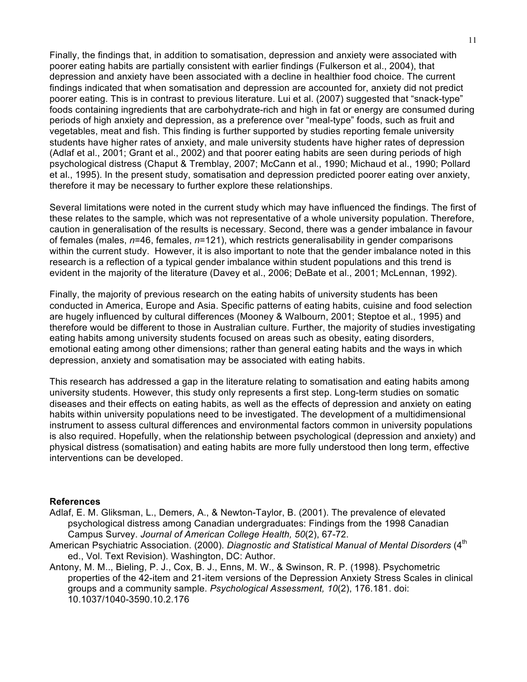Finally, the findings that, in addition to somatisation, depression and anxiety were associated with poorer eating habits are partially consistent with earlier findings (Fulkerson et al., 2004), that depression and anxiety have been associated with a decline in healthier food choice. The current findings indicated that when somatisation and depression are accounted for, anxiety did not predict poorer eating. This is in contrast to previous literature. Lui et al. (2007) suggested that "snack-type" foods containing ingredients that are carbohydrate-rich and high in fat or energy are consumed during periods of high anxiety and depression, as a preference over "meal-type" foods, such as fruit and vegetables, meat and fish. This finding is further supported by studies reporting female university students have higher rates of anxiety, and male university students have higher rates of depression (Adlaf et al., 2001; Grant et al., 2002) and that poorer eating habits are seen during periods of high psychological distress (Chaput & Tremblay, 2007; McCann et al., 1990; Michaud et al., 1990; Pollard et al., 1995). In the present study, somatisation and depression predicted poorer eating over anxiety, therefore it may be necessary to further explore these relationships.

Several limitations were noted in the current study which may have influenced the findings. The first of these relates to the sample, which was not representative of a whole university population. Therefore, caution in generalisation of the results is necessary. Second, there was a gender imbalance in favour of females (males, *n*=46, females, *n*=121), which restricts generalisability in gender comparisons within the current study. However, it is also important to note that the gender imbalance noted in this research is a reflection of a typical gender imbalance within student populations and this trend is evident in the majority of the literature (Davey et al., 2006; DeBate et al., 2001; McLennan, 1992).

Finally, the majority of previous research on the eating habits of university students has been conducted in America, Europe and Asia. Specific patterns of eating habits, cuisine and food selection are hugely influenced by cultural differences (Mooney & Walbourn, 2001; Steptoe et al., 1995) and therefore would be different to those in Australian culture. Further, the majority of studies investigating eating habits among university students focused on areas such as obesity, eating disorders, emotional eating among other dimensions; rather than general eating habits and the ways in which depression, anxiety and somatisation may be associated with eating habits.

This research has addressed a gap in the literature relating to somatisation and eating habits among university students. However, this study only represents a first step. Long-term studies on somatic diseases and their effects on eating habits, as well as the effects of depression and anxiety on eating habits within university populations need to be investigated. The development of a multidimensional instrument to assess cultural differences and environmental factors common in university populations is also required. Hopefully, when the relationship between psychological (depression and anxiety) and physical distress (somatisation) and eating habits are more fully understood then long term, effective interventions can be developed.

#### **References**

- Adlaf, E. M. Gliksman, L., Demers, A., & Newton-Taylor, B. (2001). The prevalence of elevated psychological distress among Canadian undergraduates: Findings from the 1998 Canadian Campus Survey. *Journal of American College Health, 50*(2), 67-72.
- American Psychiatric Association. (2000). *Diagnostic and Statistical Manual of Mental Disorders* (4<sup>th</sup> ed., Vol. Text Revision). Washington, DC: Author.
- Antony, M. M.., Bieling, P. J., Cox, B. J., Enns, M. W., & Swinson, R. P. (1998). Psychometric properties of the 42-item and 21-item versions of the Depression Anxiety Stress Scales in clinical groups and a community sample. *Psychological Assessment, 10*(2), 176.181. doi: 10.1037/1040-3590.10.2.176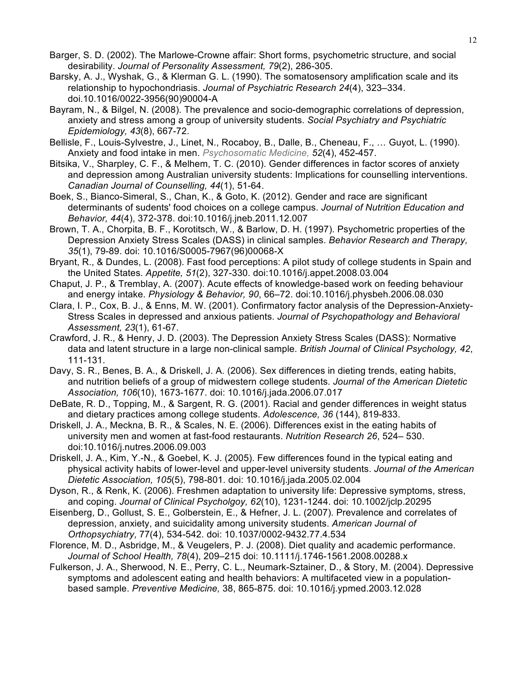- Barger, S. D. (2002). The Marlowe-Crowne affair: Short forms, psychometric structure, and social desirability. *Journal of Personality Assessment, 79*(2), 286-305.
- Barsky, A. J., Wyshak, G., & Klerman G. L. (1990). The somatosensory amplification scale and its relationship to hypochondriasis. *Journal of Psychiatric Research 24*(4), 323–334. doi.10.1016/0022-3956(90)90004-A
- Bayram, N., & Bilgel, N. (2008). The prevalence and socio-demographic correlations of depression, anxiety and stress among a group of university students. *Social Psychiatry and Psychiatric Epidemiology, 43*(8), 667-72.
- Bellisle, F., Louis-Sylvestre, J., Linet, N., Rocaboy, B., Dalle, B., Cheneau, F., … Guyot, L. (1990). Anxiety and food intake in men. *Psychosomatic Medicine, 52*(4), 452-457.
- Bitsika, V., Sharpley, C. F., & Melhem, T. C. (2010). Gender differences in factor scores of anxiety and depression among Australian university students: Implications for counselling interventions. *Canadian Journal of Counselling, 44*(1), 51-64.
- Boek, S., Bianco-Simeral, S., Chan, K., & Goto, K. (2012). Gender and race are significant determinants of sudents' food choices on a college campus. *Journal of Nutrition Education and Behavior, 44*(4), 372-378. doi:10.1016/j.jneb.2011.12.007
- Brown, T. A., Chorpita, B. F., Korotitsch, W., & Barlow, D. H. (1997). Psychometric properties of the Depression Anxiety Stress Scales (DASS) in clinical samples. *Behavior Research and Therapy, 35*(1), 79-89. doi: 10.1016/S0005-7967(96)00068-X
- Bryant, R., & Dundes, L. (2008). Fast food perceptions: A pilot study of college students in Spain and the United States. *Appetite, 51*(2), 327-330. doi:10.1016/j.appet.2008.03.004
- Chaput, J. P., & Tremblay, A. (2007). Acute effects of knowledge-based work on feeding behaviour and energy intake. *Physiology & Behavior, 90*, 66–72. doi:10.1016/j.physbeh.2006.08.030
- Clara, I. P., Cox, B. J., & Enns, M. W. (2001). Confirmatory factor analysis of the Depression-Anxiety-Stress Scales in depressed and anxious patients. *Journal of Psychopathology and Behavioral Assessment, 23*(1), 61-67.
- Crawford, J. R., & Henry, J. D. (2003). The Depression Anxiety Stress Scales (DASS): Normative data and latent structure in a large non-clinical sample. *British Journal of Clinical Psychology, 42*, 111-131.
- Davy, S. R., Benes, B. A., & Driskell, J. A. (2006). Sex differences in dieting trends, eating habits, and nutrition beliefs of a group of midwestern college students. *Journal of the American Dietetic Association, 106*(10), 1673-1677. doi: 10.1016/j.jada.2006.07.017
- DeBate, R. D., Topping, M., & Sargent, R. G. (2001). Racial and gender differences in weight status and dietary practices among college students. *Adolescence, 36* (144), 819-833.
- Driskell, J. A., Meckna, B. R., & Scales, N. E. (2006). Differences exist in the eating habits of university men and women at fast-food restaurants. *Nutrition Research 26*, 524– 530. doi:10.1016/j.nutres.2006.09.003
- Driskell, J. A., Kim, Y.-N., & Goebel, K. J. (2005). Few differences found in the typical eating and physical activity habits of lower-level and upper-level university students. *Journal of the American Dietetic Association, 105*(5), 798-801. doi: 10.1016/j.jada.2005.02.004
- Dyson, R., & Renk, K. (2006). Freshmen adaptation to university life: Depressive symptoms, stress, and coping. *Journal of Clinical Psycholgoy, 62*(10), 1231-1244. doi: 10.1002/jclp.20295
- Eisenberg, D., Gollust, S. E., Golberstein, E., & Hefner, J. L. (2007). Prevalence and correlates of depression, anxiety, and suicidality among university students. *American Journal of Orthopsychiatry*, 77(4), 534-542. doi: 10.1037/0002-9432.77.4.534
- Florence, M. D., Asbridge, M., & Veugelers, P. J. (2008). Diet quality and academic performance. *Journal of School Health, 78*(4), 209–215 doi: 10.1111/j.1746-1561.2008.00288.x
- Fulkerson, J. A., Sherwood, N. E., Perry, C. L., Neumark-Sztainer, D., & Story, M. (2004). Depressive symptoms and adolescent eating and health behaviors: A multifaceted view in a populationbased sample. *Preventive Medicine,* 38, 865-875. doi: 10.1016/j.ypmed.2003.12.028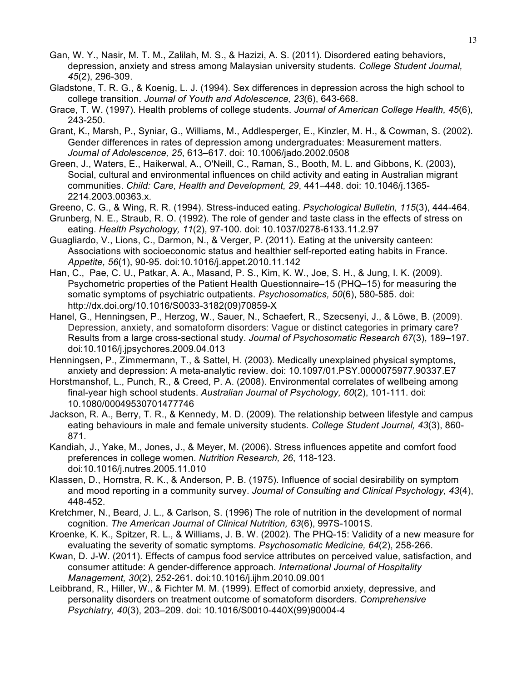- Gan, W. Y., Nasir, M. T. M., Zalilah, M. S., & Hazizi, A. S. (2011). Disordered eating behaviors, depression, anxiety and stress among Malaysian university students. *College Student Journal, 45*(2), 296-309.
- Gladstone, T. R. G., & Koenig, L. J. (1994). Sex differences in depression across the high school to college transition. *Journal of Youth and Adolescence, 23*(6), 643-668.
- Grace, T. W. (1997). Health problems of college students. *Journal of American College Health, 45*(6), 243-250.
- Grant, K., Marsh, P., Syniar, G., Williams, M., Addlesperger, E., Kinzler, M. H., & Cowman, S. (2002). Gender differences in rates of depression among undergraduates: Measurement matters. *Journal of Adolescence, 25*, 613–617. doi: 10.1006/jado.2002.0508
- Green, J., Waters, E., Haikerwal, A., O'Neill, C., Raman, S., Booth, M. L. and Gibbons, K. (2003), Social, cultural and environmental influences on child activity and eating in Australian migrant communities. *Child: Care, Health and Development, 29*, 441–448. doi: 10.1046/j.1365- 2214.2003.00363.x.
- Greeno, C. G., & Wing, R. R. (1994). Stress-induced eating. *Psychological Bulletin, 115*(3), 444-464.
- Grunberg, N. E., Straub, R. O. (1992). The role of gender and taste class in the effects of stress on eating. *Health Psychology, 11*(2), 97-100. doi: 10.1037/0278-6133.11.2.97
- Guagliardo, V., Lions, C., Darmon, N., & Verger, P. (2011). Eating at the university canteen: Associations with socioeconomic status and healthier self-reported eating habits in France. *Appetite, 56*(1), 90-95. doi:10.1016/j.appet.2010.11.142
- Han, C., Pae, C. U., Patkar, A. A., Masand, P. S., Kim, K. W., Joe, S. H., & Jung, I. K. (2009). Psychometric properties of the Patient Health Questionnaire–15 (PHQ–15) for measuring the somatic symptoms of psychiatric outpatients. *Psychosomatics, 50*(6), 580-585. doi: http://dx.doi.org/10.1016/S0033-3182(09)70859-X
- Hanel, G., Henningsen, P., Herzog, W., Sauer, N., Schaefert, R., Szecsenyi, J., & Löwe, B. (2009). Depression, anxiety, and somatoform disorders: Vague or distinct categories in primary care? Results from a large cross-sectional study. *Journal of Psychosomatic Research 67*(3), 189–197. doi:10.1016/j.jpsychores.2009.04.013
- Henningsen, P., Zimmermann, T., & Sattel, H. (2003). Medically unexplained physical symptoms, anxiety and depression: A meta-analytic review. doi: 10.1097/01.PSY.0000075977.90337.E7
- Horstmanshof, L., Punch, R., & Creed, P. A. (2008). Environmental correlates of wellbeing among final-year high school students. *Australian Journal of Psychology, 60*(2), 101-111. doi: 10.1080/00049530701477746
- Jackson, R. A., Berry, T. R., & Kennedy, M. D. (2009). The relationship between lifestyle and campus eating behaviours in male and female university students. *College Student Journal, 43*(3), 860- 871.
- Kandiah, J., Yake, M., Jones, J., & Meyer, M. (2006). Stress influences appetite and comfort food preferences in college women. *Nutrition Research, 26*, 118-123. doi:10.1016/j.nutres.2005.11.010
- Klassen, D., Hornstra, R. K., & Anderson, P. B. (1975). Influence of social desirability on symptom and mood reporting in a community survey. *Journal of Consulting and Clinical Psychology, 43*(4), 448-452.
- Kretchmer, N., Beard, J. L., & Carlson, S. (1996) The role of nutrition in the development of normal cognition. *The American Journal of Clinical Nutrition, 63*(6), 997S-1001S.
- Kroenke, K. K., Spitzer, R. L., & Williams, J. B. W. (2002). The PHQ-15: Validity of a new measure for evaluating the severity of somatic symptoms. *Psychosomatic Medicine, 64*(2), 258-266.
- Kwan, D. J-W. (2011). Effects of campus food service attributes on perceived value, satisfaction, and consumer attitude: A gender-difference approach. *International Journal of Hospitality Management, 30*(2), 252-261. doi:10.1016/j.ijhm.2010.09.001
- Leibbrand, R., Hiller, W., & Fichter M. M. (1999). Effect of comorbid anxiety, depressive, and personality disorders on treatment outcome of somatoform disorders. *Comprehensive Psychiatry, 40*(3), 203–209. doi: 10.1016/S0010-440X(99)90004-4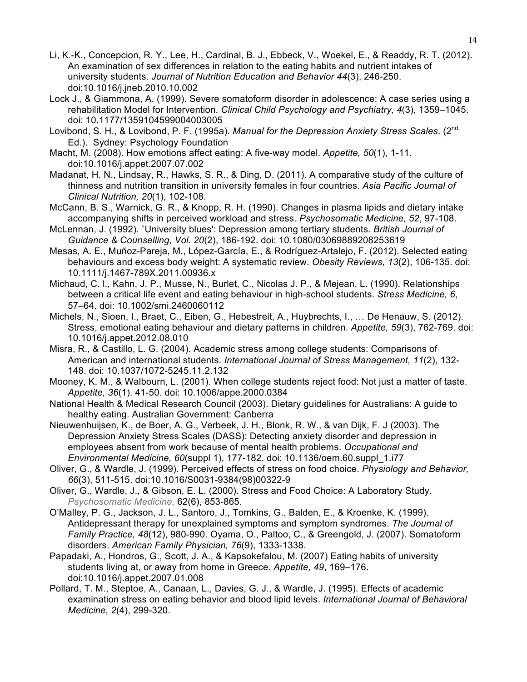- Li, K.-K., Concepcion, R. Y., Lee, H., Cardinal, B. J., Ebbeck, V., Woekel, E., & Readdy, R. T. (2012). An examination of sex differences in relation to the eating habits and nutrient intakes of university students. *Journal of Nutrition Education and Behavior 44*(3), 246-250. doi:10.1016/j.jneb.2010.10.002
- Lock J., & Giammona, A. (1999). Severe somatoform disorder in adolescence: A case series using a rehabilitation Model for Intervention. *Clinical Child Psychology and Psychiatry, 4*(3), 1359–1045. doi: 10.1177/1359104599004003005
- Lovibond, S. H., & Lovibond, P. F. (1995a). *Manual for the Depression Anxiety Stress Scales.* (2<sup>nd.</sup> Ed.). Sydney: Psychology Foundation
- Macht, M. (2008). How emotions affect eating: A five-way model. *Appetite, 50*(1), 1-11. doi:10.1016/j.appet.2007.07.002
- Madanat, H. N., Lindsay, R., Hawks, S. R., & Ding, D. (2011). A comparative study of the culture of thinness and nutrition transition in university females in four countries. *Asia Pacific Journal of Clinical Nutrition, 20*(1), 102-108.
- McCann, B. S., Warnick, G. R., & Knopp, R. H. (1990). Changes in plasma lipids and dietary intake accompanying shifts in perceived workload and stress. *Psychosomatic Medicine, 52*, 97-108.
- McLennan, J. (1992). `University blues': Depression among tertiary students. *British Journal of Guidance & Counselling, Vol. 20*(2), 186-192. doi: 10.1080/03069889208253619
- Mesas, A. E., Muñoz-Pareja, M., López-García, E., & Rodríguez-Artalejo, F. (2012). Selected eating behaviours and excess body weight: A systematic review. *Obesity Reviews, 13*(2), 106-135. doi: 10.1111/j.1467-789X.2011.00936.x
- Michaud, C. l., Kahn, J. P., Musse, N., Burlet, C., Nicolas J. P., & Mejean, L. (1990). Relationships between a critical life event and eating behaviour in high-school students. *Stress Medicine, 6*, 57–64. doi: 10.1002/smi.2460060112
- Michels, N., Sioen, I., Braet, C., Eiben, G., Hebestreit, A., Huybrechts, I., … De Henauw, S. (2012). Stress, emotional eating behaviour and dietary patterns in children. *Appetite, 59*(3), 762-769. doi: 10.1016/j.appet.2012.08.010
- Misra, R., & Castillo, L. G. (2004). Academic stress among college students: Comparisons of American and international students. *International Journal of Stress Management, 11*(2), 132- 148. doi: 10.1037/1072-5245.11.2.132
- Mooney, K. M., & Walbourn, L. (2001). When college students reject food: Not just a matter of taste. *Appetite, 36*(1). 41-50. doi: 10.1006/appe.2000.0384
- National Health & Medical Research Council (2003). Dietary guidelines for Australians: A guide to healthy eating. Australian Government: Canberra
- Nieuwenhuijsen, K., de Boer, A. G., Verbeek, J. H., Blonk, R. W., & van Dijk, F. J (2003). The Depression Anxiety Stress Scales (DASS): Detecting anxiety disorder and depression in employees absent from work because of mental health problems. *Occupational and Environmental Medicine, 60*(suppl 1), 177-182. doi: 10.1136/oem.60.suppl\_1.i77
- Oliver, G., & Wardle, J. (1999). Perceived effects of stress on food choice. *Physiology and Behavior, 66*(3), 511-515. doi:10.1016/S0031-9384(98)00322-9
- Oliver, G., Wardle, J., & Gibson, E. L. (2000). Stress and Food Choice: A Laboratory Study. *Psychosomatic Medicine,* 62(6), 853-865.
- O'Malley, P. G., Jackson, J. L., Santoro, J., Tomkins, G., Balden, E., & Kroenke, K. (1999). Antidepressant therapy for unexplained symptoms and symptom syndromes. *The Journal of Family Practice, 48*(12), 980-990. Oyama, O., Paltoo, C., & Greengold, J. (2007). Somatoform disorders. *American Family Physician, 76*(9), 1333-1338.
- Papadaki, A., Hondros, G., Scott, J. A., & Kapsokefalou, M. (2007) Eating habits of university students living at, or away from home in Greece. *Appetite, 49*, 169–176. doi:10.1016/j.appet.2007.01.008
- Pollard, T. M., Steptoe, A., Canaan, L., Davies, G. J., & Wardle, J. (1995). Effects of academic examination stress on eating behavior and blood lipid levels. *International Journal of Behavioral Medicine, 2*(4), 299-320.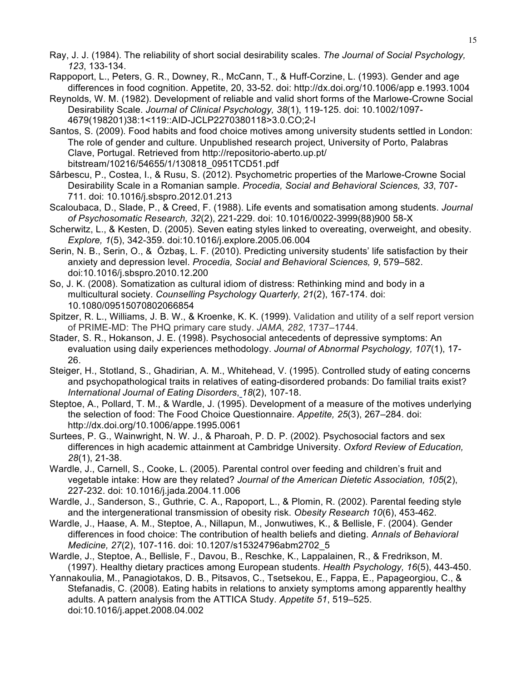- Ray, J. J. (1984). The reliability of short social desirability scales. *The Journal of Social Psychology, 123*, 133-134.
- Rappoport, L., Peters, G. R., Downey, R., McCann, T., & Huff-Corzine, L. (1993). Gender and age differences in food cognition. Appetite, 20, 33-52. doi: http://dx.doi.org/10.1006/app e.1993.1004
- Reynolds, W. M. (1982). Development of reliable and valid short forms of the Marlowe-Crowne Social Desirability Scale. *Journal of Clinical Psychology, 38*(1), 119-125. doi: 10.1002/1097- 4679(198201)38:1<119::AID-JCLP2270380118>3.0.CO;2-I
- Santos, S. (2009). Food habits and food choice motives among university students settled in London: The role of gender and culture. Unpublished research project, University of Porto, Palabras Clave, Portugal. Retrieved from http://repositorio-aberto.up.pt/ bitstream/10216/54655/1/130818\_0951TCD51.pdf
- Sârbescu, P., Costea, I., & Rusu, S. (2012). Psychometric properties of the Marlowe-Crowne Social Desirability Scale in a Romanian sample. *Procedia, Social and Behavioral Sciences, 33*, 707- 711. doi: 10.1016/j.sbspro.2012.01.213
- Scaloubaca, D., Slade, P., & Creed, F. (1988). Life events and somatisation among students. *Journal of Psychosomatic Research, 32*(2), 221-229. doi: 10.1016/0022-3999(88)900 58-X
- Scherwitz, L., & Kesten, D. (2005). Seven eating styles linked to overeating, overweight, and obesity. *Explore, 1*(5), 342-359. doi:10.1016/j.explore.2005.06.004
- Serin, N. B., Serin, O., & Özbaş, L. F. (2010). Predicting university students' life satisfaction by their anxiety and depression level. *Procedia, Social and Behavioral Sciences, 9*, 579–582. doi:10.1016/j.sbspro.2010.12.200
- So, J. K. (2008). Somatization as cultural idiom of distress: Rethinking mind and body in a multicultural society. *Counselling Psychology Quarterly, 21*(2), 167-174. doi: 10.1080/09515070802066854
- Spitzer, R. L., Williams, J. B. W., & Kroenke, K. K. (1999). Validation and utility of a self report version of PRIME-MD: The PHQ primary care study. *JAMA, 282*, 1737–1744.
- Stader, S. R., Hokanson, J. E. (1998). Psychosocial antecedents of depressive symptoms: An evaluation using daily experiences methodology. *Journal of Abnormal Psychology, 107*(1), 17- 26.
- Steiger, H., Stotland, S., Ghadirian, A. M., Whitehead, V. (1995). Controlled study of eating concerns and psychopathological traits in relatives of eating-disordered probands: Do familial traits exist? *International Journal of Eating Disorders*, *18*(2), 107-18.
- Steptoe, A., Pollard, T. M., & Wardle, J. (1995). Development of a measure of the motives underlying the selection of food: The Food Choice Questionnaire. *Appetite, 25*(3), 267–284. doi: http://dx.doi.org/10.1006/appe.1995.0061
- Surtees, P. G., Wainwright, N. W. J., & Pharoah, P. D. P. (2002). Psychosocial factors and sex differences in high academic attainment at Cambridge University. *Oxford Review of Education, 28*(1), 21-38.
- Wardle, J., Carnell, S., Cooke, L. (2005). Parental control over feeding and children's fruit and vegetable intake: How are they related? *Journal of the American Dietetic Association, 105*(2), 227-232. doi: 10.1016/j.jada.2004.11.006
- Wardle, J., Sanderson, S., Guthrie, C. A., Rapoport, L., & Plomin, R. (2002). Parental feeding style and the intergenerational transmission of obesity risk. *Obesity Research 10*(6), 453-462.
- Wardle, J., Haase, A. M., Steptoe, A., Nillapun, M., Jonwutiwes, K., & Bellisle, F. (2004). Gender differences in food choice: The contribution of health beliefs and dieting. *Annals of Behavioral Medicine, 27*(2), 107-116. doi: 10.1207/s15324796abm2702\_5
- Wardle, J., Steptoe, A., Bellisle, F., Davou, B., Reschke, K., Lappalainen, R., & Fredrikson, M. (1997). Healthy dietary practices among European students. *Health Psychology, 16*(5), 443-450.
- Yannakoulia, M., Panagiotakos, D. B., Pitsavos, C., Tsetsekou, E., Fappa, E., Papageorgiou, C., & Stefanadis, C. (2008). Eating habits in relations to anxiety symptoms among apparently healthy adults. A pattern analysis from the ATTICA Study. *Appetite 51*, 519–525. doi:10.1016/j.appet.2008.04.002